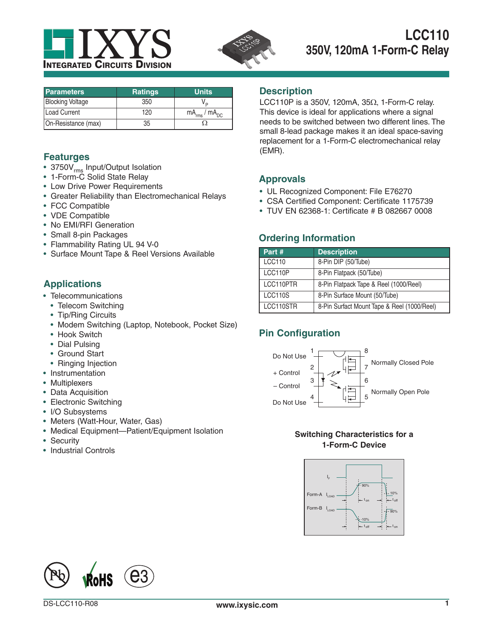



| <b>Parameters</b>       | <b>Ratings</b> | <b>Units</b>           |
|-------------------------|----------------|------------------------|
| <b>Blocking Voltage</b> | 350            |                        |
| Load Current            | 120            | $mA_{rms}$ / $mA_{DC}$ |
| On-Resistance (max)     | 35             |                        |

#### **Featurges**

- 3750V<sub>rms</sub> Input/Output Isolation
- 1-Form-C Solid State Relay
- Low Drive Power Requirements
- Greater Reliability than Electromechanical Relays
- FCC Compatible
- VDE Compatible
- No EMI/RFI Generation
- Small 8-pin Packages
- Flammability Rating UL 94 V-0
- Surface Mount Tape & Reel Versions Available

# **Applications**

- Telecommunications
	- Telecom Switching
	- Tip/Ring Circuits
	- Modem Switching (Laptop, Notebook, Pocket Size)
	- Hook Switch
	- Dial Pulsing
	- Ground Start
	- Ringing Injection
- Instrumentation
- Multiplexers
- Data Acquisition
- Electronic Switching
- I/O Subsystems
- Meters (Watt-Hour, Water, Gas)
- Medical Equipment—Patient/Equipment Isolation
- Security
- Industrial Controls

#### **Description**

LCC110P is a 350V, 120mA,  $35\Omega$ , 1-Form-C relay. This device is ideal for applications where a signal needs to be switched between two different lines. The small 8-lead package makes it an ideal space-saving replacement for a 1-Form-C electromechanical relay (EMR).

#### **Approvals**

- UL Recognized Component: File E76270
- CSA Certified Component: Certificate 1175739
- TUV EN 62368-1: Certificate # B 082667 0008

#### **Ordering Information**

| Part #        | <b>Description</b>                          |
|---------------|---------------------------------------------|
| <b>LCC110</b> | 8-Pin DIP (50/Tube)                         |
| LCC110P       | 8-Pin Flatpack (50/Tube)                    |
| LCC110PTR     | 8-Pin Flatpack Tape & Reel (1000/Reel)      |
| LCC110S       | 8-Pin Surface Mount (50/Tube)               |
| LCC110STR     | 8-Pin Surfact Mount Tape & Reel (1000/Reel) |

# **Pin Configuration**



#### **Switching Characteristics for a 1-Form-C Device**



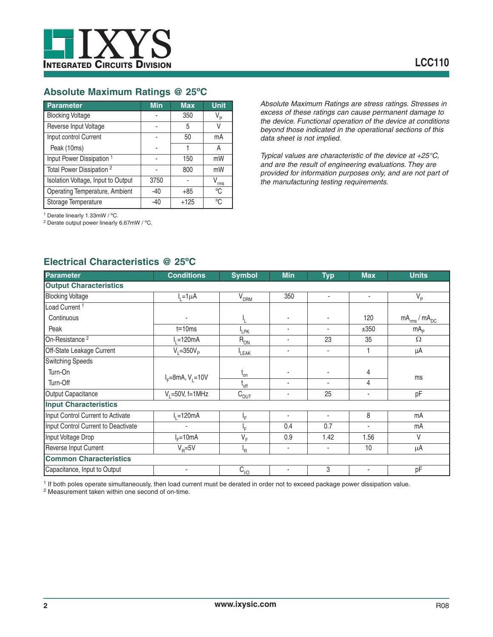

# **Absolute Maximum Ratings @ 25ºC**

| Parameter                            | <b>Min</b> | <b>Max</b> | <b>Unit</b>      |
|--------------------------------------|------------|------------|------------------|
| <b>Blocking Voltage</b>              |            | 350        | V <sub>p</sub>   |
| Reverse Input Voltage                |            | 5          |                  |
| Input control Current                | -          | 50         | mA               |
| Peak (10ms)                          |            |            | Α                |
| Input Power Dissipation <sup>1</sup> |            | 150        | mW               |
| Total Power Dissipation <sup>2</sup> |            | 800        | mW               |
| Isolation Voltage, Input to Output   | 3750       |            | $V_{\text{rms}}$ |
| Operating Temperature, Ambient       | -40        | $+85$      | °C               |
| Storage Temperature                  | $-40$      | $+125$     | °C               |

*Absolute Maximum Ratings are stress ratings. Stresses in excess of these ratings can cause permanent damage to the device. Functional operation of the device at conditions beyond those indicated in the operational sections of this data sheet is not implied.*

*Typical values are characteristic of the device at +25°C, and are the result of engineering evaluations. They are provided for information purposes only, and are not part of the manufacturing testing requirements.*

1 Derate linearly 1.33mW / ºC.

2 Derate output power linearly 6.67mW / ºC.

| <b>Parameter</b>                    | <b>Conditions</b>              | <b>Symbol</b>              | <b>Min</b>     | <b>Typ</b>               | <b>Max</b>               | <b>Units</b>           |
|-------------------------------------|--------------------------------|----------------------------|----------------|--------------------------|--------------------------|------------------------|
| <b>Output Characteristics</b>       |                                |                            |                |                          |                          |                        |
| <b>Blocking Voltage</b>             | $I_1 = 1 \mu A$                | $V_{DRM}$                  | 350            | $\overline{\phantom{a}}$ | ٠                        | $V_{\rm p}$            |
| Load Current <sup>1</sup>           |                                |                            |                |                          |                          |                        |
| Continuous                          |                                | Ł                          | $\sim$         | ٠                        | 120                      | $mA_{rms}$ / $mA_{DC}$ |
| Peak                                | $t = 10ms$                     | <sup>I</sup> LPK           | ٠              | ٠                        | ±350                     | mA <sub>p</sub>        |
| On-Resistance <sup>2</sup>          | $I1=120mA$                     | $R_{ON}$                   | ٠              | 23                       | 35                       | $\Omega$               |
| Off-State Leakage Current           | $V_i = 350V_p$                 | LEAK                       | ٠              | ٠                        | 1                        | μA                     |
| <b>Switching Speeds</b>             |                                |                            |                |                          |                          |                        |
| Turn-On                             |                                | $\mathfrak{t}_{\text{on}}$ | ٠              | ٠                        | 4                        |                        |
| Turn-Off                            | $I_F = 8 \text{mA}, V_1 = 10V$ | $I_{off}$                  | $\sim$         | ٠                        | 4                        | ms                     |
| Output Capacitance                  | $V_1 = 50V$ , f=1MHz           | $C_{OUT}$                  | ٠              | 25                       | $\overline{\phantom{a}}$ | pF                     |
| <b>Input Characteristics</b>        |                                |                            |                |                          |                          |                        |
| Input Control Current to Activate   | $I_1 = 120mA$                  | ١F.                        |                | $\overline{\phantom{a}}$ | 8                        | mA                     |
| Input Control Current to Deactivate |                                | l <sub>E</sub>             | 0.4            | 0.7                      |                          | mA                     |
| Input Voltage Drop                  | $I_F = 10mA$                   | $\overline{V}_{F}$         | 0.9            | 1.42                     | 1.56                     | $\vee$                 |
| Reverse Input Current               | $V_{\rm p} = 5V$               | <sup>I</sup> R             | $\blacksquare$ | ٠                        | 10                       | $\mu$ A                |
| <b>Common Characteristics</b>       |                                |                            |                |                          |                          |                        |
| Capacitance, Input to Output        |                                | $C_{\nu 0}$                | ٠              | 3                        | $\overline{\phantom{a}}$ | pF                     |

# **Electrical Characteristics @ 25ºC**

1 If both poles operate simultaneously, then load current must be derated in order not to exceed package power dissipation value.

2 Measurement taken within one second of on-time.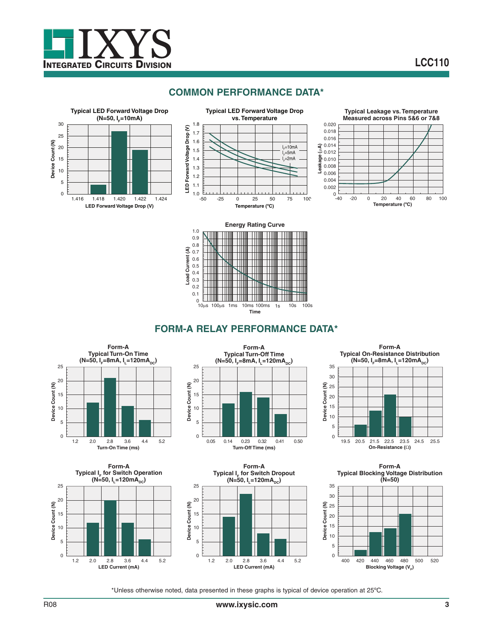

# **COMMON PERFORMANCE DATA\***























\*Unless otherwise noted, data presented in these graphs is typical of device operation at 25ºC.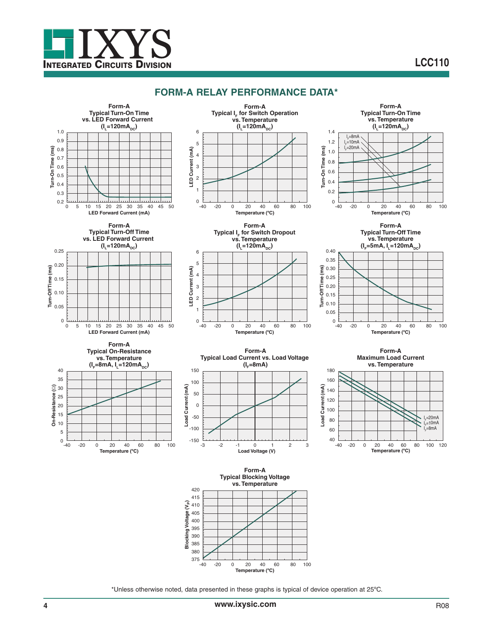

# **LCC110**

#### **FORM-A RELAY PERFORMANCE DATA\***







**Temperature (ºC)**

0 -20 0 20 40 60 80 100



**Form-A Typical IF for Switch Dropout vs. Temperature**  $(I_1=120mA_{DC})$ 



**Form-A Typical Turn-Off Time vs. Temperature**



**Form-A Maximum Load Current**





**Temperature (ºC)**

**LED Current (mA)**

LED Current (mA)

 $-40$ 

**Form-A Typical Blocking Voltage vs. Temperature**



\*Unless otherwise noted, data presented in these graphs is typical of device operation at 25ºC.

 $0 -40$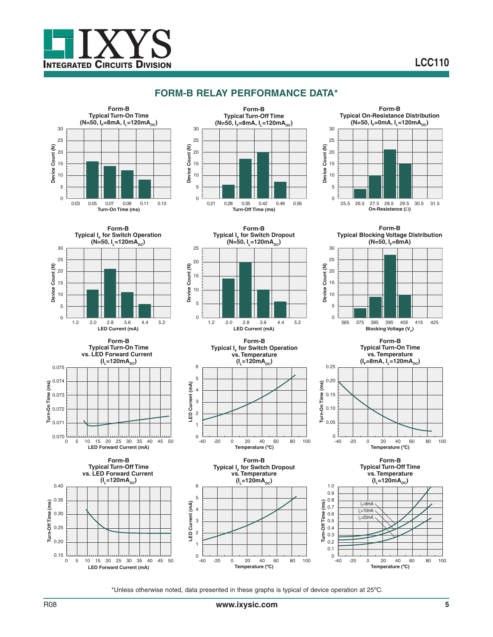

# **FORM-B RELAY PERFORMANCE DATA\***





**Form-B Typical I<sub>F</sub> for Switch Dropout** 

 $\overbrace{25}$  **(N=50, I<sub>L</sub>=120mA<sub>DC</sub>)** 

20

**LED Current (mA)**



**Form-B Typical Blocking Voltage Distribution**



 $(N=50, I<sub>F</sub>=8mA)$ 



**Form-B Typical Turn-On Time vs. LED Forward Current**   $(I_1 = 120mA_{DC})$ 



**Form-B Typical Turn-Off Time vs. LED Forward Current**   $(I_L = 120mA_{DC})$ 

**LED Forward Current (mA)**







**Form-B Typical I<sub>r</sub> for Switch Dropout vs. Temperature**  $(I_1 = 120mA_{DC})$ **Temperature (ºC)**



**Temperature (ºC)**

**Typical Turn-On Time vs. Temperature**  $(I_e=8mA, I_e=120mA<sub>oc</sub>)$ 

**Turn-On Time (ms)**

Turn-On Time (ms)

0.25 0.20 0.15

**Form-B**



**Form-B Typical Turn-Off Time vs. Temperature**  $(I_L = 120mA_{DC})$ 



\*Unless otherwise noted, data presented in these graphs is typical of device operation at 25ºC.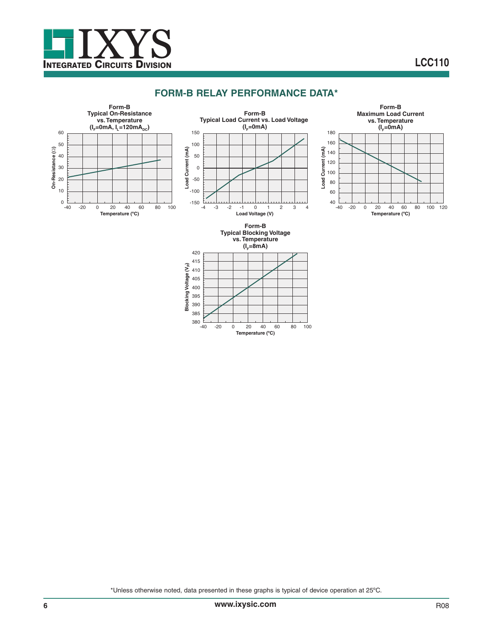

#### **FORM-B RELAY PERFORMANCE DATA\***



\*Unless otherwise noted, data presented in these graphs is typical of device operation at 25ºC.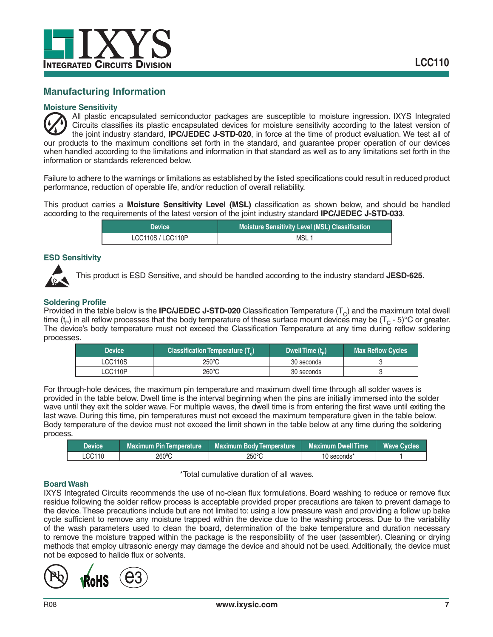

#### **Manufacturing Information**

#### **Moisture Sensitivity**

All plastic encapsulated semiconductor packages are susceptible to moisture ingression. IXYS Integrated Circuits classifies its plastic encapsulated devices for moisture sensitivity according to the latest version of the joint industry standard, **IPC/JEDEC J-STD-020**, in force at the time of product evaluation. We test all of our products to the maximum conditions set forth in the standard, and guarantee proper operation of our devices when handled according to the limitations and information in that standard as well as to any limitations set forth in the information or standards referenced below.

Failure to adhere to the warnings or limitations as established by the listed specifications could result in reduced product performance, reduction of operable life, and/or reduction of overall reliability.

This product carries a **Moisture Sensitivity Level (MSL)** classification as shown below, and should be handled according to the requirements of the latest version of the joint industry standard **IPC/JEDEC J-STD-033**.

| <b>Device</b>     | <b>Moisture Sensitivity Level (MSL) Classification</b> |  |
|-------------------|--------------------------------------------------------|--|
| LCC110S / LCC110P | <b>MSL</b>                                             |  |

#### **ESD Sensitivity**



This product is ESD Sensitive, and should be handled according to the industry standard **JESD-625**.

#### **Soldering Profile**

Provided in the table below is the **IPC/JEDEC J-STD-020** Classification Temperature  $(T_c)$  and the maximum total dwell time ( $t_p$ ) in all reflow processes that the body temperature of these surface mount devices may be ( $T_c$  - 5)°C or greater. The device's body temperature must not exceed the Classification Temperature at any time during reflow soldering processes.

| <b>Device</b> | Classification Temperature (T) | Dwell Time (t <sub>n</sub> )' | <b>Max Reflow Cycles</b> |
|---------------|--------------------------------|-------------------------------|--------------------------|
| LCC110S       | 250°C                          | 30 seconds                    |                          |
| LCC110P       | 260°C                          | 30 seconds                    |                          |

For through-hole devices, the maximum pin temperature and maximum dwell time through all solder waves is provided in the table below. Dwell time is the interval beginning when the pins are initially immersed into the solder wave until they exit the solder wave. For multiple waves, the dwell time is from entering the first wave until exiting the last wave. During this time, pin temperatures must not exceed the maximum temperature given in the table below. Body temperature of the device must not exceed the limit shown in the table below at any time during the soldering process.

| Device | <b>Maximum Pin Temperature</b> | <b>Maximum Body Temperature</b> | Maximum Dwell Time | i Wave Cvcles <sup>∖</sup> |
|--------|--------------------------------|---------------------------------|--------------------|----------------------------|
| CC110  | 260°C                          | 250°C                           | 10 seconds*        |                            |

#### \*Total cumulative duration of all waves.

#### **Board Wash**

IXYS Integrated Circuits recommends the use of no-clean flux formulations. Board washing to reduce or remove flux residue following the solder reflow process is acceptable provided proper precautions are taken to prevent damage to the device. These precautions include but are not limited to: using a low pressure wash and providing a follow up bake cycle sufficient to remove any moisture trapped within the device due to the washing process. Due to the variability of the wash parameters used to clean the board, determination of the bake temperature and duration necessary to remove the moisture trapped within the package is the responsibility of the user (assembler). Cleaning or drying methods that employ ultrasonic energy may damage the device and should not be used. Additionally, the device must not be exposed to halide flux or solvents.

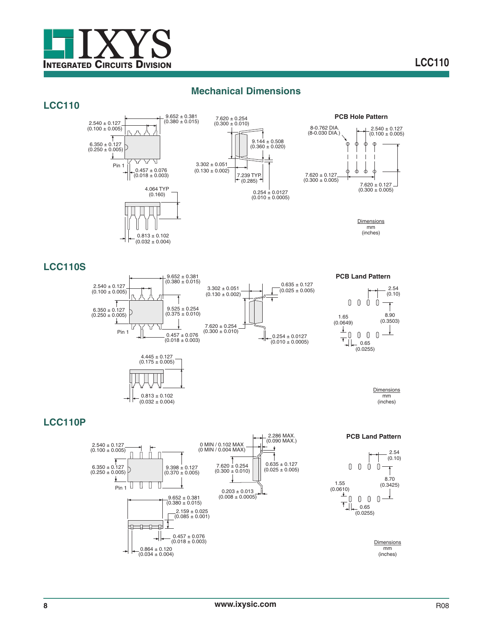

#### **Mechanical Dimensions**

#### **LCC110**





**PCB Hole Pattern**



**Dimensions** mm (inches)

#### **LCC110S**



**PCB Land Pattern**



2.54 (0.10)

**Dimensions** mm (inches)

# **LCC110P**

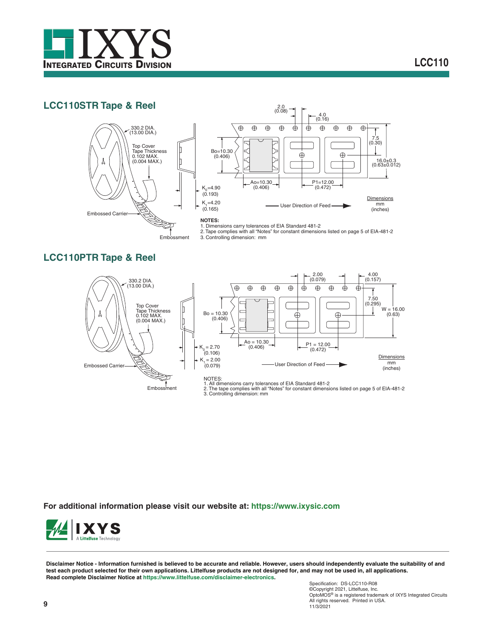

# **LCC110STR Tape & Reel**





#### **NOTES:**

1. Dimensions carry tolerances of EIA Standard 481-2 2. Tape complies with all "Notes" for constant dimensions listed on page 5 of EIA-481-2 Embossment 3. Controlling dimension: mm

# **LCC110PTR Tape & Reel**



**For additional information please visit our website at: https://www.ixysic.com**



**Disclaimer Notice - Information furnished is believed to be accurate and reliable. However, users should independently evaluate the suitability of and test each product selected for their own applications. Littelfuse products are not designed for, and may not be used in, all applications. Read complete Disclaimer Notice at https://www.littelfuse.com/disclaimer-electronics.**